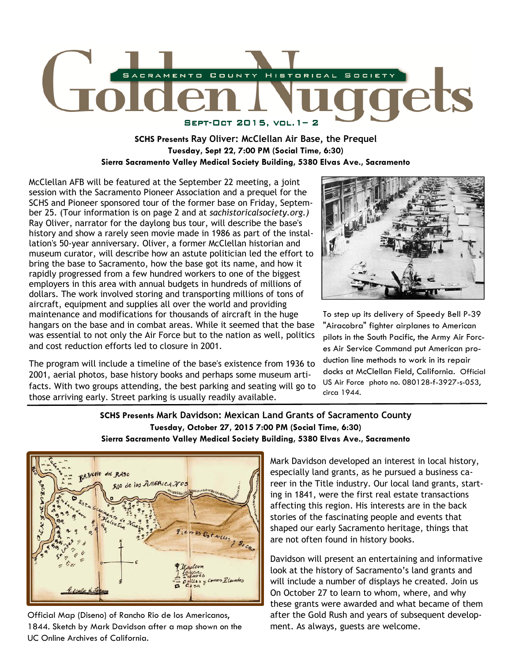

## **SCHS Presents Ray Oliver: McClellan Air Base, the Prequel Tuesday, Sept 22, 7:00 PM (Social Time, 6:30) Sierra Sacramento Valley Medical Society Building, 5380 Elvas Ave., Sacramento**

McClellan AFB will be featured at the September 22 meeting, a joint session with the Sacramento Pioneer Association and a prequel for the SCHS and Pioneer sponsored tour of the former base on Friday, September 25. (Tour information is on page 2 and at *sachistoricalsociety.org.)*  Ray Oliver, narrator for the daylong bus tour, will describe the base's history and show a rarely seen movie made in 1986 as part of the installation's 50-year anniversary. Oliver, a former McClellan historian and museum curator, will describe how an astute politician led the effort to bring the base to Sacramento, how the base got its name, and how it rapidly progressed from a few hundred workers to one of the biggest employers in this area with annual budgets in hundreds of millions of dollars. The work involved storing and transporting millions of tons of aircraft, equipment and supplies all over the world and providing maintenance and modifications for thousands of aircraft in the huge hangars on the base and in combat areas. While it seemed that the base was essential to not only the Air Force but to the nation as well, politics and cost reduction efforts led to closure in 2001.

The program will include a timeline of the base's existence from 1936 to 2001, aerial photos, base history books and perhaps some museum artifacts. With two groups attending, the best parking and seating will go to those arriving early. Street parking is usually readily available.



To step up its delivery of Speedy Bell P-39 "Airacobra" fighter airplanes to American pilots in the South Pacific, the Army Air Forces Air Service Command put American production line methods to work in its repair docks at McClellan Field, California. Official US Air Force photo no. 080128-f-3927-s-053, circa 1944.

### **SCHS Presents Mark Davidson: Mexican Land Grants of Sacramento County Tuesday, October 27, 2015 7:00 PM (Social Time, 6:30) Sierra Sacramento Valley Medical Society Building, 5380 Elvas Ave., Sacramento**



Official Map (Diseno) of Rancho Rio de los Americanos, 1844. Sketch by Mark Davidson after a map shown on the UC Online Archives of California.

Mark Davidson developed an interest in local history, especially land grants, as he pursued a business career in the Title industry. Our local land grants, starting in 1841, were the first real estate transactions affecting this region. His interests are in the back stories of the fascinating people and events that shaped our early Sacramento heritage, things that are not often found in history books.

Davidson will present an entertaining and informative look at the history of Sacramento's land grants and will include a number of displays he created. Join us On October 27 to learn to whom, where, and why these grants were awarded and what became of them after the Gold Rush and years of subsequent development. As always, guests are welcome.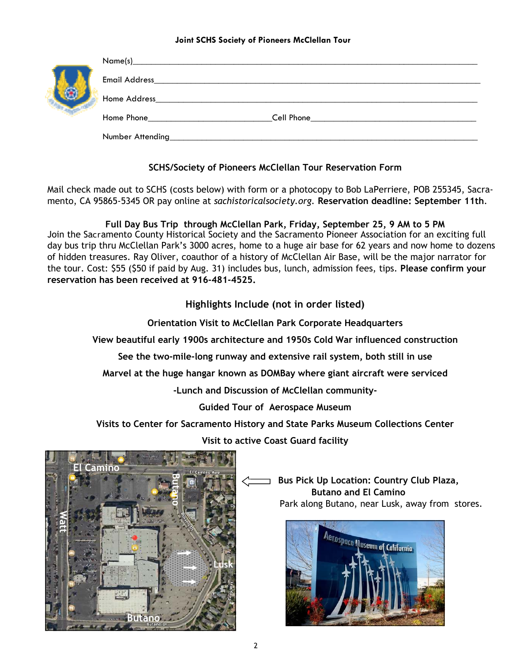#### **Joint SCHS Society of Pioneers McClellan Tour**

|  | Name(s)                        |                              |
|--|--------------------------------|------------------------------|
|  | <b>Email Address</b>           |                              |
|  | Home Address                   |                              |
|  | Home Phone <b>Example 2018</b> | <b>Cell Phone Cell Phone</b> |
|  | Number Attending               |                              |

# **SCHS/Society of Pioneers McClellan Tour Reservation Form**

Mail check made out to SCHS (costs below) with form or a photocopy to Bob LaPerriere, POB 255345, Sacramento, CA 95865-5345 OR pay online at *sachistoricalsociety.org.* **Reservation deadline: September 11th**.

**Full Day Bus Trip through McClellan Park, Friday, September 25, 9 AM to 5 PM**  Join the Sacramento County Historical Society and the Sacramento Pioneer Association for an exciting full day bus trip thru McClellan Park's 3000 acres, home to a huge air base for 62 years and now home to dozens of hidden treasures. Ray Oliver, coauthor of a history of McClellan Air Base, will be the major narrator for the tour. Cost: \$55 (\$50 if paid by Aug. 31) includes bus, lunch, admission fees, tips. **Please confirm your reservation has been received at 916-481-4525.** 

**Highlights Include (not in order listed)** 

**Orientation Visit to McClellan Park Corporate Headquarters** 

**View beautiful early 1900s architecture and 1950s Cold War influenced construction** 

**See the two-mile-long runway and extensive rail system, both still in use** 

**Marvel at the huge hangar known as DOMBay where giant aircraft were serviced** 

**-Lunch and Discussion of McClellan community-**

**Guided Tour of Aerospace Museum** 

**Visits to Center for Sacramento History and State Parks Museum Collections Center** 



**Visit to active Coast Guard facility** 

 **Bus Pick Up Location: Country Club Plaza, Butano and El Camino**  Park along Butano, near Lusk, away from stores.

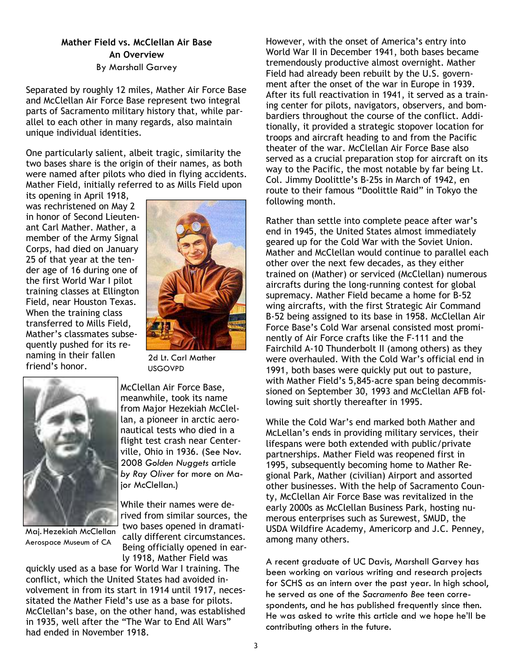# **Mather Field vs. McClellan Air Base An Overview**

By Marshall Garvey

Separated by roughly 12 miles, Mather Air Force Base and McClellan Air Force Base represent two integral parts of Sacramento military history that, while parallel to each other in many regards, also maintain unique individual identities.

One particularly salient, albeit tragic, similarity the two bases share is the origin of their names, as both were named after pilots who died in flying accidents. Mather Field, initially referred to as Mills Field upon

its opening in April 1918, was rechristened on May 2 in honor of Second Lieutenant Carl Mather. Mather, a member of the Army Signal Corps, had died on January 25 of that year at the tender age of 16 during one of the first World War I pilot training classes at Ellington Field, near Houston Texas. When the training class transferred to Mills Field, Mather's classmates subsequently pushed for its renaming in their fallen friend's honor.



2d Lt. Carl Mather USGOVPD



Maj. Hezekiah McClellan Aerospace Museum of CA

McClellan Air Force Base, meanwhile, took its name from Major Hezekiah McClellan, a pioneer in arctic aeronautical tests who died in a flight test crash near Centerville, Ohio in 1936. (See Nov. 2008 *Golden Nuggets* article *by Ray Oliver* for more on Maior McClellan.)

While their names were derived from similar sources, the two bases opened in dramatically different circumstances. Being officially opened in early 1918, Mather Field was

quickly used as a base for World War I training. The conflict, which the United States had avoided involvement in from its start in 1914 until 1917, necessitated the Mather Field's use as a base for pilots. McClellan's base, on the other hand, was established in 1935, well after the "The War to End All Wars" had ended in November 1918.

However, with the onset of America's entry into World War II in December 1941, both bases became tremendously productive almost overnight. Mather Field had already been rebuilt by the U.S. government after the onset of the war in Europe in 1939. After its full reactivation in 1941, it served as a training center for pilots, navigators, observers, and bombardiers throughout the course of the conflict. Additionally, it provided a strategic stopover location for troops and aircraft heading to and from the Pacific theater of the war. McClellan Air Force Base also served as a crucial preparation stop for aircraft on its way to the Pacific, the most notable by far being Lt. Col. Jimmy Doolittle's B-25s in March of 1942, en route to their famous "Doolittle Raid" in Tokyo the following month.

Rather than settle into complete peace after war's end in 1945, the United States almost immediately geared up for the Cold War with the Soviet Union. Mather and McClellan would continue to parallel each other over the next few decades, as they either trained on (Mather) or serviced (McClellan) numerous aircrafts during the long-running contest for global supremacy. Mather Field became a home for B-52 wing aircrafts, with the first Strategic Air Command B-52 being assigned to its base in 1958. McClellan Air Force Base's Cold War arsenal consisted most prominently of Air Force crafts like the F-111 and the Fairchild A-10 Thunderbolt II (among others) as they were overhauled. With the Cold War's official end in 1991, both bases were quickly put out to pasture, with Mather Field's 5,845-acre span being decommissioned on September 30, 1993 and McClellan AFB following suit shortly thereafter in 1995.

While the Cold War's end marked both Mather and McLellan's ends in providing military services, their lifespans were both extended with public/private partnerships. Mather Field was reopened first in 1995, subsequently becoming home to Mather Regional Park, Mather (civilian) Airport and assorted other businesses. With the help of Sacramento County, McClellan Air Force Base was revitalized in the early 2000s as McClellan Business Park, hosting numerous enterprises such as Surewest, SMUD, the USDA Wildfire Academy, Americorp and J.C. Penney, among many others.

A recent graduate of UC Davis, Marshall Garvey has been working on various writing and research projects for SCHS as an intern over the past year. In high school, he served as one of the *Sacramento Bee* teen correspondents, and he has published frequently since then. He was asked to write this article and we hope he'll be contributing others in the future.